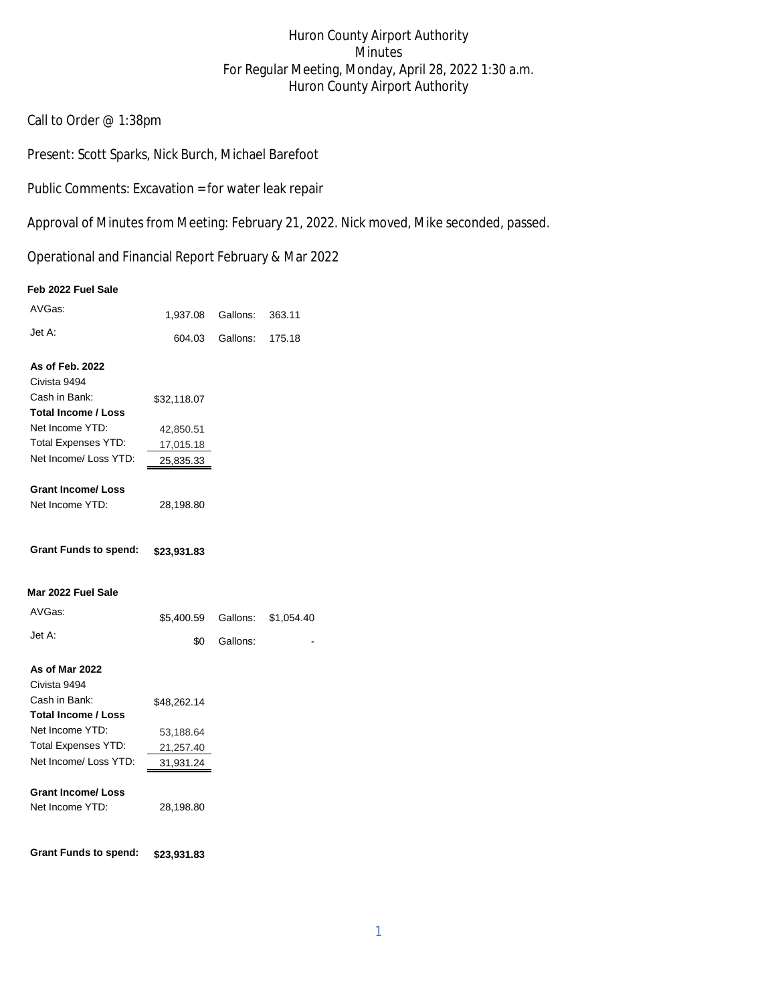# Huron County Airport Authority Minutes For Regular Meeting, Monday, April 28, 2022 1:30 a.m. Huron County Airport Authority

Call to Order @ 1:38pm

Present: Scott Sparks, Nick Burch, Michael Barefoot

Public Comments: Excavation = for water leak repair

Approval of Minutes from Meeting: February 21, 2022. Nick moved, Mike seconded, passed.

Operational and Financial Report February & Mar 2022

#### **Feb 2022 Fuel Sale**

| AVGas:                       |                        | 1,937.08 Gallons: | 363.11     |
|------------------------------|------------------------|-------------------|------------|
| Jet A:                       | 604.03                 | Gallons:          | 175.18     |
| As of Feb. 2022              |                        |                   |            |
| Civista 9494                 |                        |                   |            |
| Cash in Bank:                | \$32,118.07            |                   |            |
| <b>Total Income / Loss</b>   |                        |                   |            |
| Net Income YTD:              | 42,850.51              |                   |            |
| <b>Total Expenses YTD:</b>   | 17,015.18              |                   |            |
| Net Income/ Loss YTD:        | 25,835.33              |                   |            |
| <b>Grant Income/ Loss</b>    |                        |                   |            |
| Net Income YTD:              | 28,198.80              |                   |            |
| <b>Grant Funds to spend:</b> | \$23,931.83            |                   |            |
| Mar 2022 Fuel Sale           |                        |                   |            |
| AVGas:                       | \$5,400.59             | Gallons:          | \$1,054.40 |
| Jet A:                       | \$0                    | Gallons:          |            |
| As of Mar 2022               |                        |                   |            |
|                              |                        |                   |            |
| Civista 9494                 |                        |                   |            |
| Cash in Bank:                | \$48,262.14            |                   |            |
| <b>Total Income / Loss</b>   |                        |                   |            |
| Net Income YTD:              |                        |                   |            |
| <b>Total Expenses YTD:</b>   | 53,188.64<br>21,257.40 |                   |            |
| Net Income/ Loss YTD:        | 31,931.24              |                   |            |
| <b>Grant Income/ Loss</b>    |                        |                   |            |
| Net Income YTD:              | 28,198.80              |                   |            |
| <b>Grant Funds to spend:</b> | \$23,931.83            |                   |            |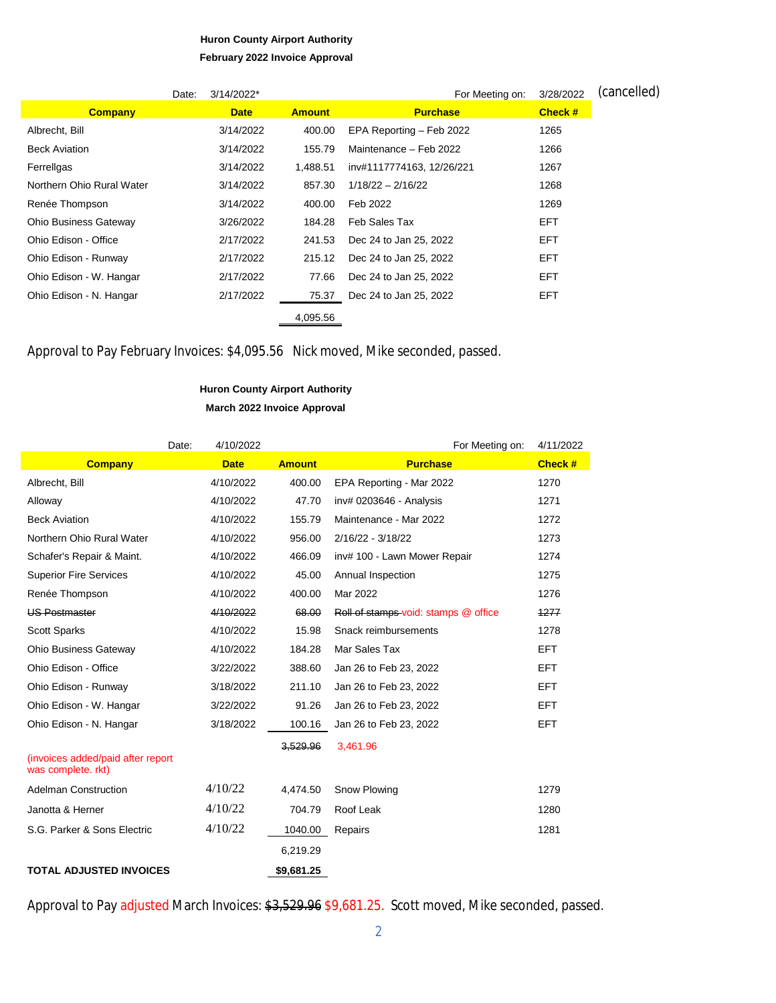### **Huron County Airport Authority February 2022 Invoice Approval**

|                              | Date: | 3/14/2022*  |               | For Meeting on:           | 3/28/2022      | (cancelled) |
|------------------------------|-------|-------------|---------------|---------------------------|----------------|-------------|
| <b>Company</b>               |       | <b>Date</b> | <b>Amount</b> | <b>Purchase</b>           | <b>Check #</b> |             |
| Albrecht, Bill               |       | 3/14/2022   | 400.00        | EPA Reporting - Feb 2022  | 1265           |             |
| <b>Beck Aviation</b>         |       | 3/14/2022   | 155.79        | Maintenance - Feb 2022    | 1266           |             |
| Ferrellgas                   |       | 3/14/2022   | 1,488.51      | inv#1117774163, 12/26/221 | 1267           |             |
| Northern Ohio Rural Water    |       | 3/14/2022   | 857.30        | $1/18/22 - 2/16/22$       | 1268           |             |
| Renée Thompson               |       | 3/14/2022   | 400.00        | Feb 2022                  | 1269           |             |
| <b>Ohio Business Gateway</b> |       | 3/26/2022   | 184.28        | Feb Sales Tax             | <b>EFT</b>     |             |
| Ohio Edison - Office         |       | 2/17/2022   | 241.53        | Dec 24 to Jan 25, 2022    | <b>EFT</b>     |             |
| Ohio Edison - Runway         |       | 2/17/2022   | 215.12        | Dec 24 to Jan 25, 2022    | <b>EFT</b>     |             |
| Ohio Edison - W. Hangar      |       | 2/17/2022   | 77.66         | Dec 24 to Jan 25, 2022    | <b>EFT</b>     |             |
| Ohio Edison - N. Hangar      |       | 2/17/2022   | 75.37         | Dec 24 to Jan 25, 2022    | EFT            |             |
|                              |       |             | 4,095.56      |                           |                |             |

Approval to Pay February Invoices: \$4,095.56 Nick moved, Mike seconded, passed.

## **Huron County Airport Authority March 2022 Invoice Approval**

|                                                         | 4/10/2022<br>Date: |               | For Meeting on:                      | 4/11/2022      |
|---------------------------------------------------------|--------------------|---------------|--------------------------------------|----------------|
| <b>Company</b>                                          | <b>Date</b>        | <b>Amount</b> | <b>Purchase</b>                      | <b>Check #</b> |
| Albrecht, Bill                                          | 4/10/2022          | 400.00        | EPA Reporting - Mar 2022             | 1270           |
| Alloway                                                 | 4/10/2022          | 47.70         | inv# 0203646 - Analysis              | 1271           |
| <b>Beck Aviation</b>                                    | 4/10/2022          | 155.79        | Maintenance - Mar 2022               | 1272           |
| Northern Ohio Rural Water                               | 4/10/2022          | 956.00        | 2/16/22 - 3/18/22                    | 1273           |
| Schafer's Repair & Maint.                               | 4/10/2022          | 466.09        | inv# 100 - Lawn Mower Repair         | 1274           |
| <b>Superior Fire Services</b>                           | 4/10/2022          | 45.00         | Annual Inspection                    | 1275           |
| Renée Thompson                                          | 4/10/2022          | 400.00        | Mar 2022                             | 1276           |
| <b>US Postmaster</b>                                    | 4/10/2022          | 68.00         | Roll of stamps-void: stamps @ office | 1277           |
| <b>Scott Sparks</b>                                     | 4/10/2022          | 15.98         | Snack reimbursements                 | 1278           |
| <b>Ohio Business Gateway</b>                            | 4/10/2022          | 184.28        | Mar Sales Tax                        | <b>EFT</b>     |
| Ohio Edison - Office                                    | 3/22/2022          | 388.60        | Jan 26 to Feb 23, 2022               | <b>EFT</b>     |
| Ohio Edison - Runway                                    | 3/18/2022          | 211.10        | Jan 26 to Feb 23, 2022               | <b>EFT</b>     |
| Ohio Edison - W. Hangar                                 | 3/22/2022          | 91.26         | Jan 26 to Feb 23, 2022               | <b>EFT</b>     |
| Ohio Edison - N. Hangar                                 | 3/18/2022          | 100.16        | Jan 26 to Feb 23, 2022               | <b>EFT</b>     |
|                                                         |                    | 3,529.96      | 3,461.96                             |                |
| (invoices added/paid after report<br>was complete. rkt) |                    |               |                                      |                |
| <b>Adelman Construction</b>                             | 4/10/22            | 4,474.50      | Snow Plowing                         | 1279           |
| Janotta & Herner                                        | 4/10/22            | 704.79        | Roof Leak                            | 1280           |
| S.G. Parker & Sons Electric                             | 4/10/22            | 1040.00       | Repairs                              | 1281           |
|                                                         |                    | 6,219.29      |                                      |                |
| <b>TOTAL ADJUSTED INVOICES</b>                          |                    | \$9,681.25    |                                      |                |

Approval to Pay adjusted March Invoices: \$3,529.96 \$9,681.25. Scott moved, Mike seconded, passed.